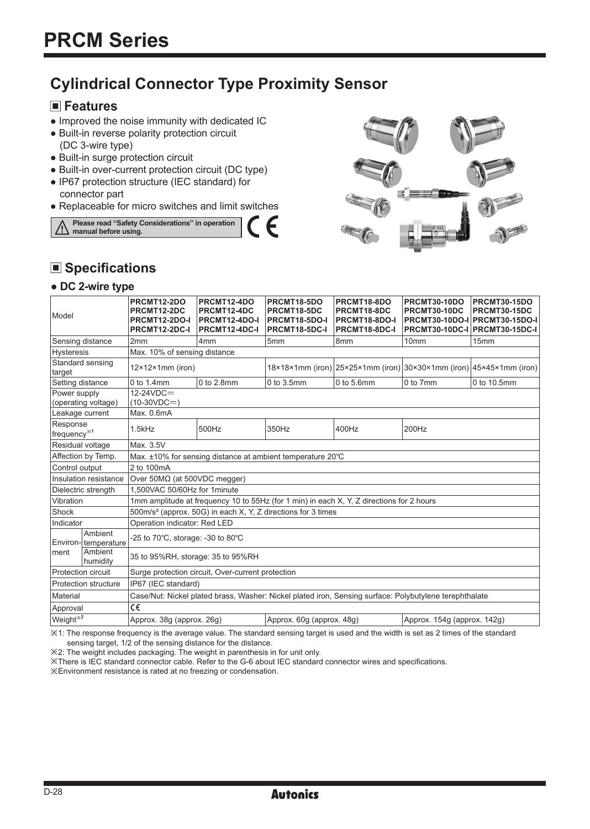## **Cylindrical Connector Type Proximity Sensor**

#### **Features**

- Improved the noise immunity with dedicated IC
- Built-in reverse polarity protection circuit (DC 3-wire type)
- Built-in surge protection circuit
- Built-in over-current protection circuit (DC type)
- IP67 protection structure (IEC standard) for connector part
- Replaceable for micro switches and limit switches





## **Specifications**

#### **● DC 2-wire type**

| Model                               |                                | PRCMT12-2DO<br>PRCMT12-2DC<br><b>PRCMT12-2DO-I</b><br>PRCMT12-2DC-I                                    | PRCMT12-4DO<br>PRCMT12-4DC<br>PRCMT12-4DO-I<br>PRCMT12-4DC-I | PRCMT18-5DO<br>PRCMT18-5DC<br>PRCMT18-5DO-I<br>PRCMT18-5DC-I | PRCMT18-8DO<br><b>PRCMT18-8DC</b><br><b>PRCMT18-8DO-I</b><br><b>PRCMT18-8DC-I</b> | PRCMT30-10DO<br>PRCMT30-10DC | PRCMT30-15DO<br>PRCMT30-15DC<br>PRCMT30-10DO-I PRCMT30-15DO-I<br>PRCMT30-10DC-I PRCMT30-15DC-I                             |  |  |  |
|-------------------------------------|--------------------------------|--------------------------------------------------------------------------------------------------------|--------------------------------------------------------------|--------------------------------------------------------------|-----------------------------------------------------------------------------------|------------------------------|----------------------------------------------------------------------------------------------------------------------------|--|--|--|
|                                     | Sensing distance               | 2mm                                                                                                    | 4 <sub>mm</sub>                                              | 5 <sub>mm</sub>                                              | l8mm                                                                              | 10mm                         | 15mm                                                                                                                       |  |  |  |
| <b>Hysteresis</b>                   |                                | Max. 10% of sensing distance                                                                           |                                                              |                                                              |                                                                                   |                              |                                                                                                                            |  |  |  |
| Standard sensing<br>target          |                                | $12\times12\times1$ mm (iron)                                                                          |                                                              |                                                              |                                                                                   |                              | $18\times18\times1$ mm (iron) $ 25\times25\times1$ mm (iron) $ 30\times30\times1$ mm (iron) $ 45\times45\times1$ mm (iron) |  |  |  |
| Setting distance                    |                                | $0$ to 1.4mm                                                                                           | $0$ to $2.8$ mm                                              | 0 to 3.5mm                                                   | $0$ to 5.6mm                                                                      | 0 to 7mm                     | 0 to 10.5mm                                                                                                                |  |  |  |
| Power supply<br>(operating voltage) |                                | $12-24VDC =$<br>$(10-30VDC=)$                                                                          |                                                              |                                                              |                                                                                   |                              |                                                                                                                            |  |  |  |
| Leakage current                     |                                | Max. 0.6mA                                                                                             |                                                              |                                                              |                                                                                   |                              |                                                                                                                            |  |  |  |
| Response<br>frequency <sup>*1</sup> |                                | $1.5$ kHz                                                                                              | 500Hz                                                        | 350Hz                                                        | 400Hz                                                                             | 200Hz                        |                                                                                                                            |  |  |  |
| Residual voltage                    |                                | Max. 3.5V                                                                                              |                                                              |                                                              |                                                                                   |                              |                                                                                                                            |  |  |  |
| Affection by Temp.                  |                                | Max. ±10% for sensing distance at ambient temperature 20°C                                             |                                                              |                                                              |                                                                                   |                              |                                                                                                                            |  |  |  |
| Control output                      |                                | 2 to 100mA                                                                                             |                                                              |                                                              |                                                                                   |                              |                                                                                                                            |  |  |  |
| Insulation resistance               |                                | Over $50M\Omega$ (at $500VDC$ megger)                                                                  |                                                              |                                                              |                                                                                   |                              |                                                                                                                            |  |  |  |
| Dielectric strength                 |                                | 1.500VAC 50/60Hz for 1minute                                                                           |                                                              |                                                              |                                                                                   |                              |                                                                                                                            |  |  |  |
| Vibration                           |                                | 1mm amplitude at frequency 10 to 55Hz (for 1 min) in each X, Y, Z directions for 2 hours               |                                                              |                                                              |                                                                                   |                              |                                                                                                                            |  |  |  |
| Shock                               |                                | 500m/s <sup>2</sup> (approx. 50G) in each X, Y, Z directions for 3 times                               |                                                              |                                                              |                                                                                   |                              |                                                                                                                            |  |  |  |
| Indicator                           |                                | Operation indicator: Red LED                                                                           |                                                              |                                                              |                                                                                   |                              |                                                                                                                            |  |  |  |
|                                     | Ambient<br>Environ-temperature | -25 to 70°C, storage: -30 to 80°C                                                                      |                                                              |                                                              |                                                                                   |                              |                                                                                                                            |  |  |  |
| Iment                               | Ambient<br><b>Ihumidity</b>    | 35 to 95%RH, storage: 35 to 95%RH                                                                      |                                                              |                                                              |                                                                                   |                              |                                                                                                                            |  |  |  |
|                                     | Protection circuit             | Surge protection circuit, Over-current protection                                                      |                                                              |                                                              |                                                                                   |                              |                                                                                                                            |  |  |  |
| Protection structure                |                                | IP67 (IEC standard)                                                                                    |                                                              |                                                              |                                                                                   |                              |                                                                                                                            |  |  |  |
| Material                            |                                | Case/Nut: Nickel plated brass, Washer: Nickel plated iron, Sensing surface: Polybutylene terephthalate |                                                              |                                                              |                                                                                   |                              |                                                                                                                            |  |  |  |
| Approval                            |                                | C€                                                                                                     |                                                              |                                                              |                                                                                   |                              |                                                                                                                            |  |  |  |
| Weight <sup>*2</sup>                |                                | Approx. 38q (approx. 26q)<br>Approx. 60q (approx. 48q)<br>Approx. 154g (approx. 142g)                  |                                                              |                                                              |                                                                                   |                              |                                                                                                                            |  |  |  |

╒

※1: The response frequency is the average value. The standard sensing target is used and the width is set as 2 times of the standard sensing target, 1/2 of the sensing distance for the distance.

※2: The weight includes packaging. The weight in parenthesis in for unit only.

※There is IEC standard connector cable. Refer to the G-6 about IEC standard connector wires and specifications.

※Environment resistance is rated at no freezing or condensation.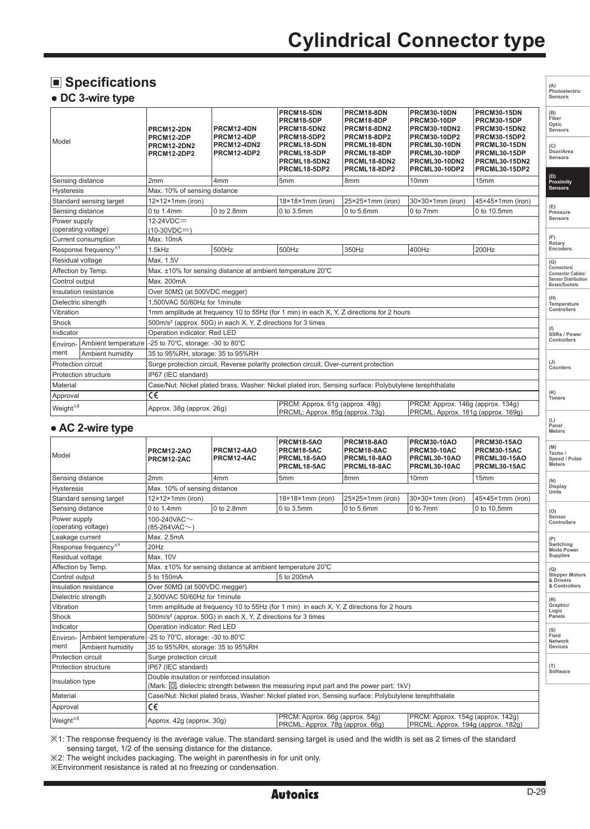# **Cylindrical Connector type**

**(A) Photoelectric Sensors**

**(L) Panel Meters** 

**Stepper Motors** 

## **Specifications**

#### **● DC 3-wire type**

| Model                                                                             |                                  | <b>PRCM12-2DN</b><br>PRCM12-2DP<br><b>PRCM12-2DN2</b><br><b>PRCM12-2DP2</b> | PRCM12-4DN<br>PRCM12-4DP<br><b>PRCM12-4DN2</b><br>PRCM12-4DP2                            | PRCM18-5DN<br>PRCM18-5DP<br><b>PRCM18-5DN2</b><br>PRCM18-5DP2<br>PRCML18-5DN<br>PRCML18-5DP<br>PRCML18-5DN2<br>PRCML18-5DP2 | PRCM18-8DN<br>PRCM18-8DP<br>PRCM18-8DN2<br>PRCM18-8DP2<br>PRCML18-8DN<br>PRCML18-8DP<br>PRCML18-8DN2<br>PRCML18-8DP2 | <b>PRCM30-10DN</b><br><b>PRCM30-10DP</b><br><b>PRCM30-10DN2</b><br>PRCM30-10DP2<br>PRCML30-10DN<br>PRCML30-10DP<br><b>PRCML30-10DN2</b><br>PRCML30-10DP2 | <b>PRCM30-15DN</b><br><b>PRCM30-15DP</b><br><b>PRCM30-15DN2</b><br><b>PRCM30-15DP2</b><br>PRCML30-15DN<br>PRCML30-15DP<br>PRCML30-15DN2<br><b>PRCML30-15DP2</b> | (B)<br>Fiber<br>Optic<br>Sensors<br>(C)<br>Door/Area<br>Sensors |  |
|-----------------------------------------------------------------------------------|----------------------------------|-----------------------------------------------------------------------------|------------------------------------------------------------------------------------------|-----------------------------------------------------------------------------------------------------------------------------|----------------------------------------------------------------------------------------------------------------------|----------------------------------------------------------------------------------------------------------------------------------------------------------|-----------------------------------------------------------------------------------------------------------------------------------------------------------------|-----------------------------------------------------------------|--|
| Sensing distance                                                                  |                                  | 2mm                                                                         | 4mm                                                                                      | 5mm                                                                                                                         | 8 <sub>mm</sub>                                                                                                      | 10mm                                                                                                                                                     | 15mm                                                                                                                                                            | (D)<br>Proximity                                                |  |
| Max. 10% of sensing distance<br><b>Hysteresis</b>                                 |                                  |                                                                             |                                                                                          |                                                                                                                             |                                                                                                                      |                                                                                                                                                          |                                                                                                                                                                 | <b>Sensors</b>                                                  |  |
| Standard sensing target                                                           |                                  | $12\times12\times1$ mm (iron)                                               |                                                                                          | $18\times18\times1$ mm (iron)                                                                                               | 25×25×1mm (iron)                                                                                                     | 30×30×1mm (iron)                                                                                                                                         | $45 \times 45 \times 1$ mm (iron)                                                                                                                               |                                                                 |  |
| Sensing distance                                                                  |                                  | 0 to 1.4mm                                                                  | 0 to 2.8mm                                                                               | 0 to 3.5mm                                                                                                                  | $0$ to 5.6mm                                                                                                         | 0 to 7mm                                                                                                                                                 | 0 to 10.5mm                                                                                                                                                     | (E)<br>Pressure<br><b>Sensors</b>                               |  |
| 12-24VDC=<br>Power supply<br>(operating voltage)<br>$(10-30VDC = 1)$              |                                  |                                                                             |                                                                                          |                                                                                                                             |                                                                                                                      |                                                                                                                                                          |                                                                                                                                                                 |                                                                 |  |
|                                                                                   | Current consumption<br>Max. 10mA |                                                                             |                                                                                          |                                                                                                                             |                                                                                                                      |                                                                                                                                                          |                                                                                                                                                                 |                                                                 |  |
|                                                                                   | Response frequency <sup>*1</sup> | 1.5kHz                                                                      | 500Hz                                                                                    | 500Hz                                                                                                                       | 350Hz                                                                                                                | 400Hz                                                                                                                                                    | 200Hz                                                                                                                                                           | Rotary<br>Encoders                                              |  |
| Residual voltage<br>Max. 1.5V                                                     |                                  |                                                                             |                                                                                          |                                                                                                                             |                                                                                                                      |                                                                                                                                                          |                                                                                                                                                                 | (G)<br>Connectors/                                              |  |
|                                                                                   | Affection by Temp.               | Max. ±10% for sensing distance at ambient temperature 20°C                  |                                                                                          |                                                                                                                             |                                                                                                                      |                                                                                                                                                          |                                                                                                                                                                 |                                                                 |  |
| Control output                                                                    |                                  | Max. 200mA                                                                  |                                                                                          |                                                                                                                             |                                                                                                                      |                                                                                                                                                          |                                                                                                                                                                 |                                                                 |  |
|                                                                                   | Insulation resistance            | Over $50M\Omega$ (at $500VDC$ megger)                                       |                                                                                          |                                                                                                                             |                                                                                                                      |                                                                                                                                                          |                                                                                                                                                                 | (H)                                                             |  |
| Dielectric strength                                                               |                                  | 1.500VAC 50/60Hz for 1minute                                                |                                                                                          |                                                                                                                             |                                                                                                                      |                                                                                                                                                          |                                                                                                                                                                 |                                                                 |  |
| Vibration                                                                         |                                  |                                                                             | 1mm amplitude at frequency 10 to 55Hz (for 1 min) in each X, Y, Z directions for 2 hours |                                                                                                                             |                                                                                                                      |                                                                                                                                                          |                                                                                                                                                                 |                                                                 |  |
| Shock<br>500m/s <sup>2</sup> (approx. 50G) in each X, Y, Z directions for 3 times |                                  |                                                                             |                                                                                          |                                                                                                                             |                                                                                                                      |                                                                                                                                                          |                                                                                                                                                                 |                                                                 |  |
| Indicator                                                                         |                                  | Operation indicator: Red LED                                                |                                                                                          |                                                                                                                             |                                                                                                                      |                                                                                                                                                          |                                                                                                                                                                 |                                                                 |  |
| Environ-                                                                          | Ambient temperature              | -25 to 70°C, storage: -30 to 80°C                                           |                                                                                          |                                                                                                                             |                                                                                                                      |                                                                                                                                                          |                                                                                                                                                                 | Controllers                                                     |  |
| ment                                                                              | Ambient humidity                 |                                                                             | 35 to 95%RH, storage: 35 to 95%RH                                                        |                                                                                                                             |                                                                                                                      |                                                                                                                                                          |                                                                                                                                                                 |                                                                 |  |
| Protection circuit                                                                |                                  |                                                                             |                                                                                          | Surge protection circuit, Reverse polarity protection circuit, Over-current protection                                      |                                                                                                                      |                                                                                                                                                          |                                                                                                                                                                 | (J)<br>Counters                                                 |  |
|                                                                                   | <b>Protection structure</b>      | IP67 (IEC standard)                                                         |                                                                                          |                                                                                                                             |                                                                                                                      |                                                                                                                                                          |                                                                                                                                                                 |                                                                 |  |
| Material                                                                          |                                  |                                                                             |                                                                                          | Case/Nut: Nickel plated brass, Washer: Nickel plated iron, Sensing surface: Polybutylene terephthalate                      |                                                                                                                      |                                                                                                                                                          |                                                                                                                                                                 |                                                                 |  |
| Approval                                                                          |                                  | $\overline{\epsilon}$                                                       |                                                                                          |                                                                                                                             |                                                                                                                      |                                                                                                                                                          |                                                                                                                                                                 | (K)<br>Timers                                                   |  |
| Weight <sup>*2</sup>                                                              |                                  | Approx. 38q (approx. 26q)                                                   |                                                                                          | PRCM: Approx. 61g (approx. 49g)<br>PRCML: Approx. 85q (approx. 73q)                                                         |                                                                                                                      | PRCM: Approx. 146q (approx. 134q)<br>PRCML: Approx. 181g (approx. 169g)                                                                                  |                                                                                                                                                                 |                                                                 |  |

#### **● AC 2-wire type**

| Model                                                                         |                                  | <b>PRCM12-2AO</b><br>PRCM12-2AC                                                                                                             | PRCM12-4AO<br>PRCM12-4AC | PRCM18-5AO<br>PRCM18-5AC<br>PRCML18-5AO<br>PRCML18-5AC              | PRCM18-8AO<br>PRCM18-8AC<br>PRCML18-8AO<br>PRCML18-8AC | <b>PRCM30-10AO</b><br><b>PRCM30-10AC</b><br>PRCML30-10AO<br>PRCML30-10AC | <b>PRCM30-15AO</b><br><b>PRCM30-15AC</b><br><b>PRCML30-15AO</b><br>PRCML30-15AC |  | (M)<br>Tacho /<br>Speed / Pulse<br><b>Meters</b> |  |
|-------------------------------------------------------------------------------|----------------------------------|---------------------------------------------------------------------------------------------------------------------------------------------|--------------------------|---------------------------------------------------------------------|--------------------------------------------------------|--------------------------------------------------------------------------|---------------------------------------------------------------------------------|--|--------------------------------------------------|--|
| Sensing distance                                                              |                                  | 2mm                                                                                                                                         | 4mm                      | 5mm                                                                 | 8mm                                                    | 10 <sub>mm</sub>                                                         | 15 <sub>mm</sub>                                                                |  | (N)                                              |  |
| <b>Hysteresis</b>                                                             |                                  | Max. 10% of sensing distance                                                                                                                |                          |                                                                     |                                                        |                                                                          |                                                                                 |  |                                                  |  |
| Standard sensing target                                                       |                                  | $12\times12\times1$ mm (iron)                                                                                                               |                          | 18×18×1mm (iron)                                                    | 25×25×1mm (iron)                                       | 30×30×1mm (iron)                                                         | 45×45×1mm (iron)                                                                |  | Units                                            |  |
| Sensing distance                                                              |                                  | 0 to 1.4mm                                                                                                                                  | 0 to 2.8mm               | 0 to 3.5mm                                                          | $0$ to 5.6mm                                           | $0$ to 7mm                                                               | 0 to 10.5mm                                                                     |  | (O)                                              |  |
| Power supply<br>100-240VAC $\sim$<br>(operating voltage)<br>$(85-264VAC\sim)$ |                                  |                                                                                                                                             |                          |                                                                     |                                                        |                                                                          |                                                                                 |  | Sensor<br>Controllers                            |  |
| Leakage current                                                               |                                  | Max. 2.5mA                                                                                                                                  |                          |                                                                     |                                                        |                                                                          |                                                                                 |  |                                                  |  |
|                                                                               | Response frequency <sup>*1</sup> | 20Hz                                                                                                                                        |                          |                                                                     |                                                        |                                                                          |                                                                                 |  |                                                  |  |
| Max. 10V<br>Residual voltage                                                  |                                  |                                                                                                                                             |                          |                                                                     |                                                        |                                                                          |                                                                                 |  | <b>Mode Power</b><br><b>Supplies</b>             |  |
|                                                                               | Affection by Temp.               | Max. ±10% for sensing distance at ambient temperature 20°C                                                                                  |                          |                                                                     |                                                        |                                                                          |                                                                                 |  |                                                  |  |
| Control output                                                                |                                  | 5 to 150mA                                                                                                                                  |                          | 5 to 200mA                                                          |                                                        |                                                                          |                                                                                 |  |                                                  |  |
| Insulation resistance                                                         |                                  | Over $50MΩ$ (at $500VDC$ megger)                                                                                                            |                          |                                                                     |                                                        |                                                                          |                                                                                 |  |                                                  |  |
| Dielectric strength                                                           |                                  | 2.500VAC 50/60Hz for 1minute                                                                                                                |                          |                                                                     |                                                        |                                                                          |                                                                                 |  |                                                  |  |
| Vibration                                                                     |                                  | 1mm amplitude at frequency 10 to 55Hz (for 1 min) in each X, Y, Z directions for 2 hours                                                    |                          |                                                                     |                                                        |                                                                          |                                                                                 |  |                                                  |  |
| Shock                                                                         |                                  | 500m/s <sup>2</sup> (approx. 50G) in each X, Y, Z directions for 3 times                                                                    |                          |                                                                     |                                                        |                                                                          |                                                                                 |  | Logic<br>Panels                                  |  |
| Indicator                                                                     |                                  | Operation indicator: Red LED                                                                                                                |                          |                                                                     |                                                        |                                                                          |                                                                                 |  | (S)                                              |  |
| Ambient temperature<br>Environ-                                               |                                  | -25 to 70°C. storage: -30 to 80°C                                                                                                           |                          |                                                                     |                                                        |                                                                          |                                                                                 |  | Field<br>Network                                 |  |
| ment                                                                          | Ambient humidity                 | 35 to 95%RH, storage: 35 to 95%RH                                                                                                           |                          |                                                                     |                                                        |                                                                          |                                                                                 |  | <b>Devices</b>                                   |  |
| Protection circuit                                                            |                                  | Surge protection circuit                                                                                                                    |                          |                                                                     |                                                        |                                                                          |                                                                                 |  |                                                  |  |
| <b>Protection structure</b>                                                   |                                  | IP67 (IEC standard)                                                                                                                         |                          |                                                                     |                                                        |                                                                          |                                                                                 |  |                                                  |  |
| Insulation type                                                               |                                  | Double insulation or reinforced insulation<br>(Mark: $\Box$ , dielectric strength between the measuring input part and the power part: 1kV) |                          |                                                                     |                                                        |                                                                          |                                                                                 |  | Software                                         |  |
| Material                                                                      |                                  | Case/Nut: Nickel plated brass, Washer: Nickel plated iron, Sensing surface: Polybutylene terephthalate                                      |                          |                                                                     |                                                        |                                                                          |                                                                                 |  |                                                  |  |
| Approval                                                                      |                                  | C€                                                                                                                                          |                          |                                                                     |                                                        |                                                                          |                                                                                 |  |                                                  |  |
| Weight <sup>*2</sup>                                                          |                                  | Approx. 42g (approx. 30g)                                                                                                                   |                          | PRCM: Approx. 66q (approx. 54q)<br>PRCML: Approx. 78g (approx. 66g) |                                                        | PRCM: Approx. 154g (approx. 142g)<br>PRCML: Approx. 194g (approx. 182g)  |                                                                                 |  |                                                  |  |

※1: The response frequency is the average value. The standard sensing target is used and the width is set as 2 times of the standard sensing target, 1/2 of the sensing distance for the distance.

※2: The weight includes packaging. The weight in parenthesis in for unit only.

※Environment resistance is rated at no freezing or condensation.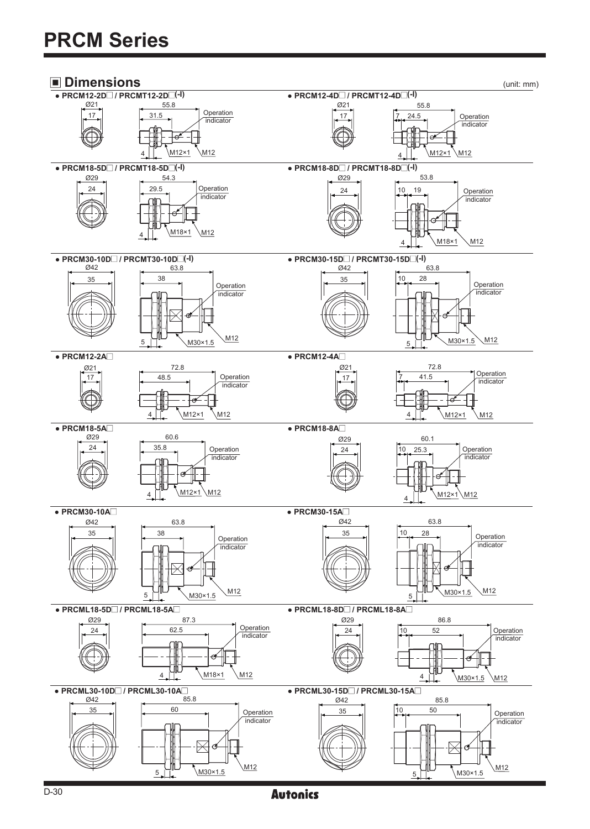

**Autonics**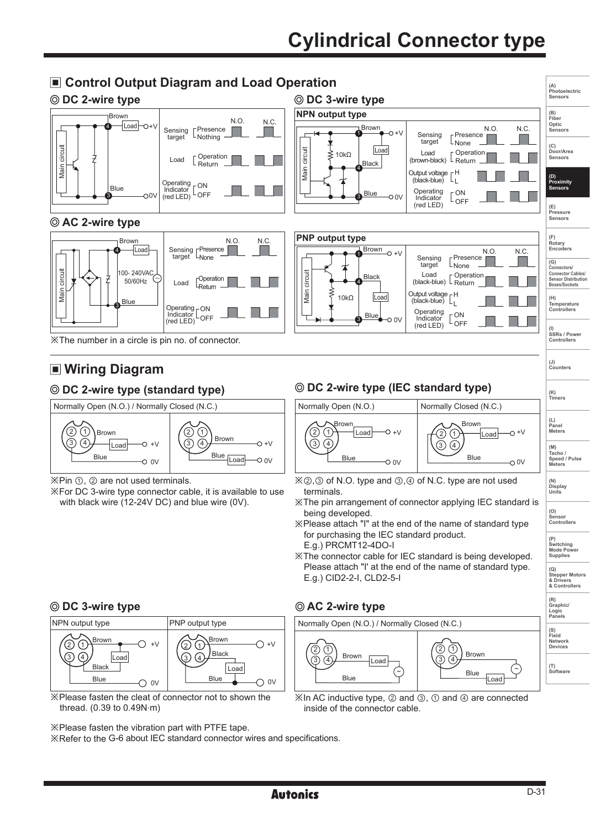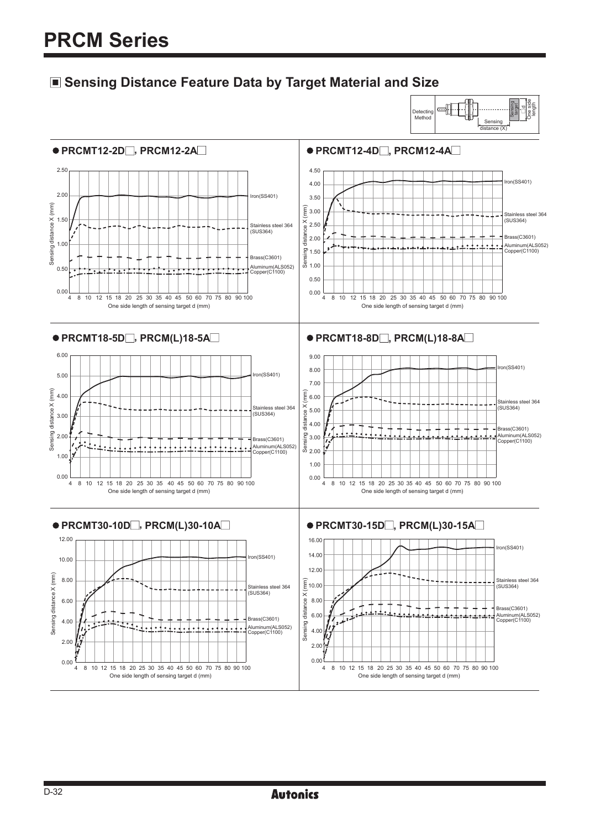### **Sensing Distance Feature Data by Target Material and Size**

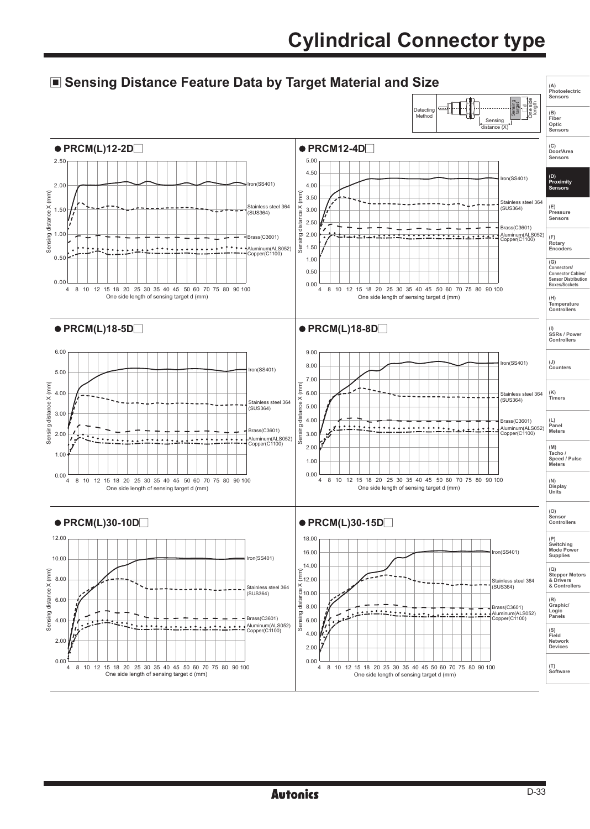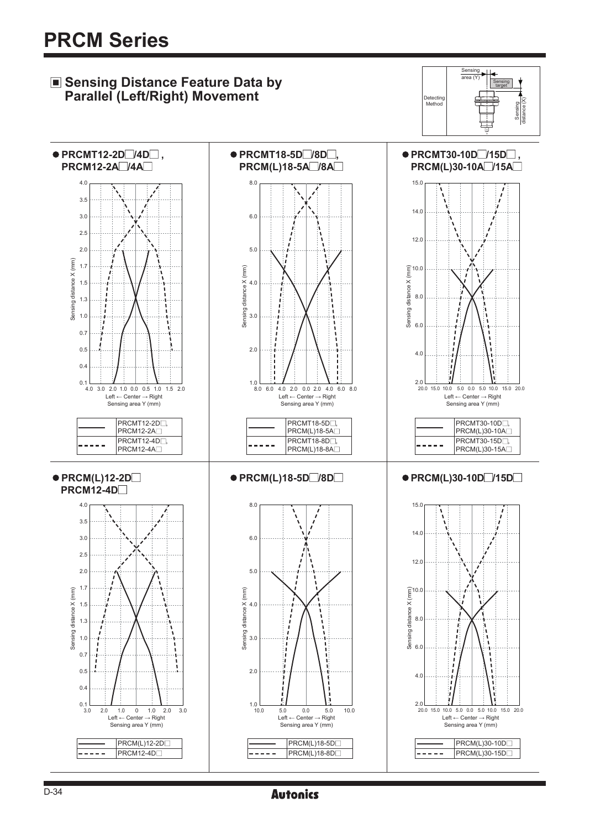